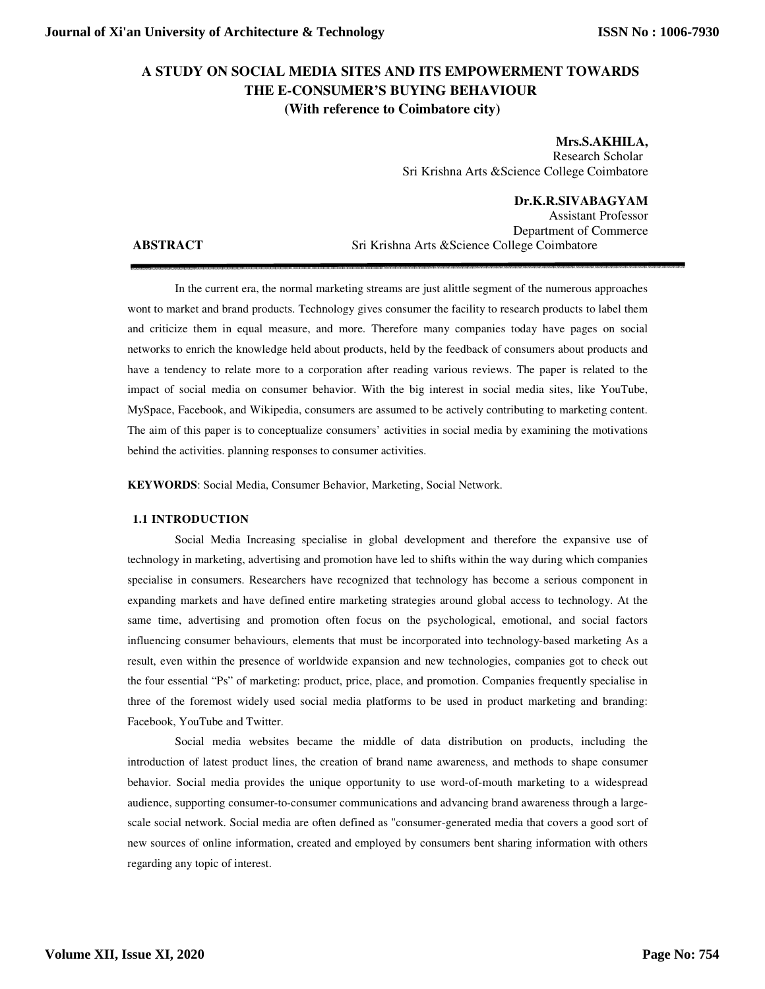# **A STUDY ON SOCIAL MEDIA SITES AND ITS EMPOWERMENT TOWARDS THE E-CONSUMER'S BUYING BEHAVIOUR (With reference to Coimbatore city)**

**Mrs.S.AKHILA,**  Research Scholar Sri Krishna Arts &Science College Coimbatore

**Dr.K.R.SIVABAGYAM** 

Assistant Professor Department of Commerce **ABSTRACT** Sri Krishna Arts &Science College Coimbatore

In the current era, the normal marketing streams are just alittle segment of the numerous approaches wont to market and brand products. Technology gives consumer the facility to research products to label them and criticize them in equal measure, and more. Therefore many companies today have pages on social networks to enrich the knowledge held about products, held by the feedback of consumers about products and have a tendency to relate more to a corporation after reading various reviews. The paper is related to the impact of social media on consumer behavior. With the big interest in social media sites, like YouTube, MySpace, Facebook, and Wikipedia, consumers are assumed to be actively contributing to marketing content. The aim of this paper is to conceptualize consumers' activities in social media by examining the motivations behind the activities. planning responses to consumer activities.

**KEYWORDS**: Social Media, Consumer Behavior, Marketing, Social Network.

## **1.1 INTRODUCTION**

Social Media Increasing specialise in global development and therefore the expansive use of technology in marketing, advertising and promotion have led to shifts within the way during which companies specialise in consumers. Researchers have recognized that technology has become a serious component in expanding markets and have defined entire marketing strategies around global access to technology. At the same time, advertising and promotion often focus on the psychological, emotional, and social factors influencing consumer behaviours, elements that must be incorporated into technology-based marketing As a result, even within the presence of worldwide expansion and new technologies, companies got to check out the four essential "Ps" of marketing: product, price, place, and promotion. Companies frequently specialise in three of the foremost widely used social media platforms to be used in product marketing and branding: Facebook, YouTube and Twitter.

Social media websites became the middle of data distribution on products, including the introduction of latest product lines, the creation of brand name awareness, and methods to shape consumer behavior. Social media provides the unique opportunity to use word-of-mouth marketing to a widespread audience, supporting consumer-to-consumer communications and advancing brand awareness through a largescale social network. Social media are often defined as "consumer-generated media that covers a good sort of new sources of online information, created and employed by consumers bent sharing information with others regarding any topic of interest.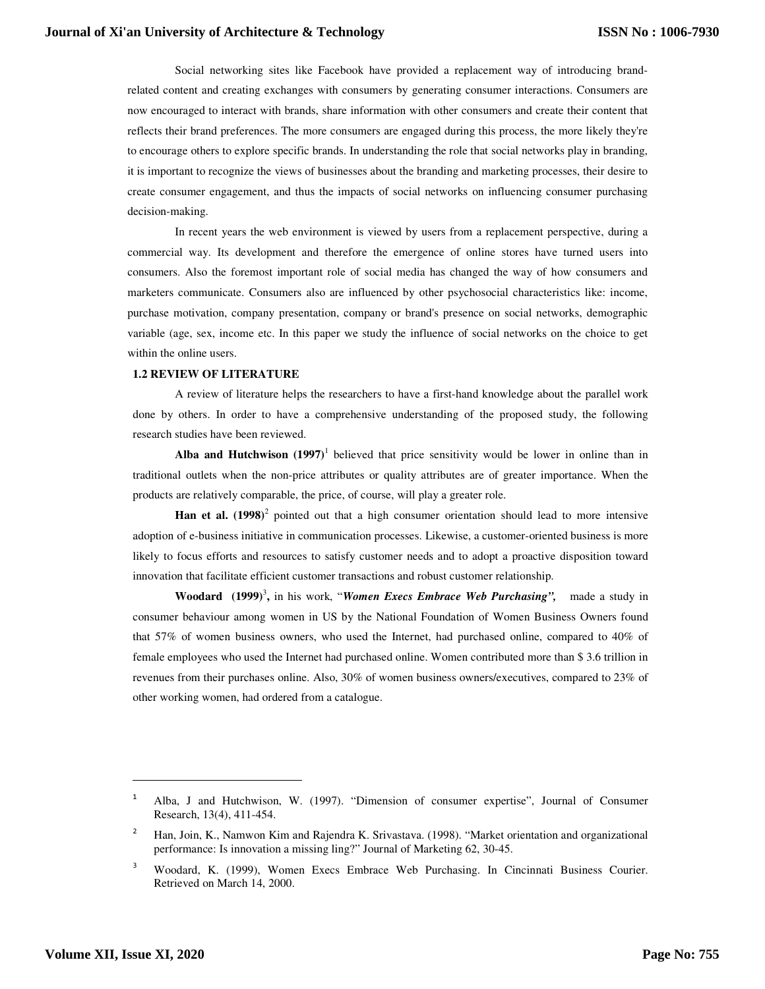Social networking sites like Facebook have provided a replacement way of introducing brandrelated content and creating exchanges with consumers by generating consumer interactions. Consumers are now encouraged to interact with brands, share information with other consumers and create their content that reflects their brand preferences. The more consumers are engaged during this process, the more likely they're to encourage others to explore specific brands. In understanding the role that social networks play in branding, it is important to recognize the views of businesses about the branding and marketing processes, their desire to create consumer engagement, and thus the impacts of social networks on influencing consumer purchasing decision-making.

In recent years the web environment is viewed by users from a replacement perspective, during a commercial way. Its development and therefore the emergence of online stores have turned users into consumers. Also the foremost important role of social media has changed the way of how consumers and marketers communicate. Consumers also are influenced by other psychosocial characteristics like: income, purchase motivation, company presentation, company or brand's presence on social networks, demographic variable (age, sex, income etc. In this paper we study the influence of social networks on the choice to get within the online users.

#### **1.2 REVIEW OF LITERATURE**

A review of literature helps the researchers to have a first-hand knowledge about the parallel work done by others. In order to have a comprehensive understanding of the proposed study, the following research studies have been reviewed.

Alba and Hutchwison  $(1997)^1$  believed that price sensitivity would be lower in online than in traditional outlets when the non-price attributes or quality attributes are of greater importance. When the products are relatively comparable, the price, of course, will play a greater role.

Han et al. (1998)<sup>2</sup> pointed out that a high consumer orientation should lead to more intensive adoption of e-business initiative in communication processes. Likewise, a customer-oriented business is more likely to focus efforts and resources to satisfy customer needs and to adopt a proactive disposition toward innovation that facilitate efficient customer transactions and robust customer relationship.

**Woodard (1999)**<sup>3</sup> **,** in his work, "*Women Execs Embrace Web Purchasing",* made a study in consumer behaviour among women in US by the National Foundation of Women Business Owners found that 57% of women business owners, who used the Internet, had purchased online, compared to 40% of female employees who used the Internet had purchased online. Women contributed more than \$ 3.6 trillion in revenues from their purchases online. Also, 30% of women business owners/executives, compared to 23% of other working women, had ordered from a catalogue.

-

<sup>1</sup> Alba, J and Hutchwison, W. (1997). "Dimension of consumer expertise", Journal of Consumer Research, 13(4), 411-454.

<sup>2</sup> Han, Join, K., Namwon Kim and Rajendra K. Srivastava. (1998). "Market orientation and organizational performance: Is innovation a missing ling?" Journal of Marketing 62, 30-45.

<sup>3</sup> Woodard, K. (1999), Women Execs Embrace Web Purchasing. In Cincinnati Business Courier. Retrieved on March 14, 2000.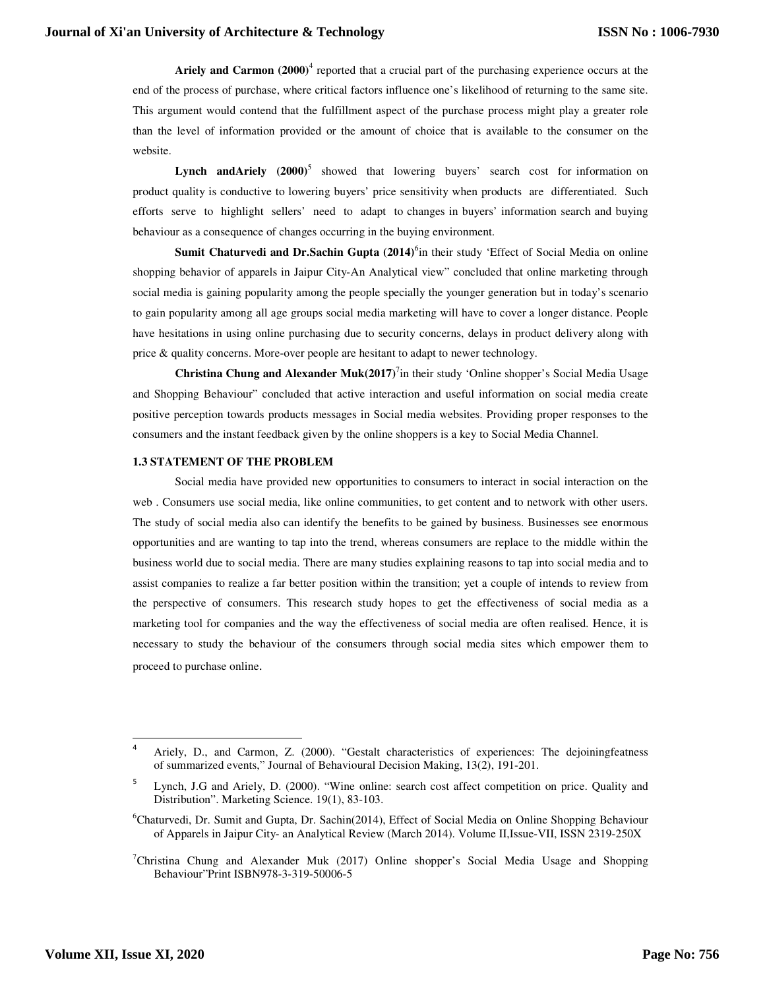Ariely and Carmon (2000)<sup>4</sup> reported that a crucial part of the purchasing experience occurs at the end of the process of purchase, where critical factors influence one's likelihood of returning to the same site. This argument would contend that the fulfillment aspect of the purchase process might play a greater role than the level of information provided or the amount of choice that is available to the consumer on the website.

Lynch and Ariely (2000)<sup>5</sup> showed that lowering buyers' search cost for information on product quality is conductive to lowering buyers' price sensitivity when products are differentiated. Such efforts serve to highlight sellers' need to adapt to changes in buyers' information search and buying behaviour as a consequence of changes occurring in the buying environment.

**Sumit Chaturvedi and Dr.Sachin Gupta (2014)**<sup>6</sup> in their study 'Effect of Social Media on online shopping behavior of apparels in Jaipur City-An Analytical view" concluded that online marketing through social media is gaining popularity among the people specially the younger generation but in today's scenario to gain popularity among all age groups social media marketing will have to cover a longer distance. People have hesitations in using online purchasing due to security concerns, delays in product delivery along with price & quality concerns. More-over people are hesitant to adapt to newer technology.

Christina Chung and Alexander Muk(2017)<sup>7</sup>in their study 'Online shopper's Social Media Usage and Shopping Behaviour" concluded that active interaction and useful information on social media create positive perception towards products messages in Social media websites. Providing proper responses to the consumers and the instant feedback given by the online shoppers is a key to Social Media Channel.

## **1.3 STATEMENT OF THE PROBLEM**

 Social media have provided new opportunities to consumers to interact in social interaction on the web . Consumers use social media, like online communities, to get content and to network with other users. The study of social media also can identify the benefits to be gained by business. Businesses see enormous opportunities and are wanting to tap into the trend, whereas consumers are replace to the middle within the business world due to social media. There are many studies explaining reasons to tap into social media and to assist companies to realize a far better position within the transition; yet a couple of intends to review from the perspective of consumers. This research study hopes to get the effectiveness of social media as a marketing tool for companies and the way the effectiveness of social media are often realised. Hence, it is necessary to study the behaviour of the consumers through social media sites which empower them to proceed to purchase online.

-

<sup>4</sup> Ariely, D., and Carmon, Z. (2000). "Gestalt characteristics of experiences: The dejoiningfeatness of summarized events," Journal of Behavioural Decision Making, 13(2), 191-201.

<sup>5</sup> Lynch, J.G and Ariely, D. (2000). "Wine online: search cost affect competition on price. Quality and Distribution". Marketing Science. 19(1), 83-103.

<sup>&</sup>lt;sup>6</sup>Chaturvedi, Dr. Sumit and Gupta, Dr. Sachin(2014), Effect of Social Media on Online Shopping Behaviour of Apparels in Jaipur City- an Analytical Review (March 2014). Volume II,Issue-VII, ISSN 2319-250X

<sup>&</sup>lt;sup>7</sup>Christina Chung and Alexander Muk (2017) Online shopper's Social Media Usage and Shopping Behaviour"Print ISBN978-3-319-50006-5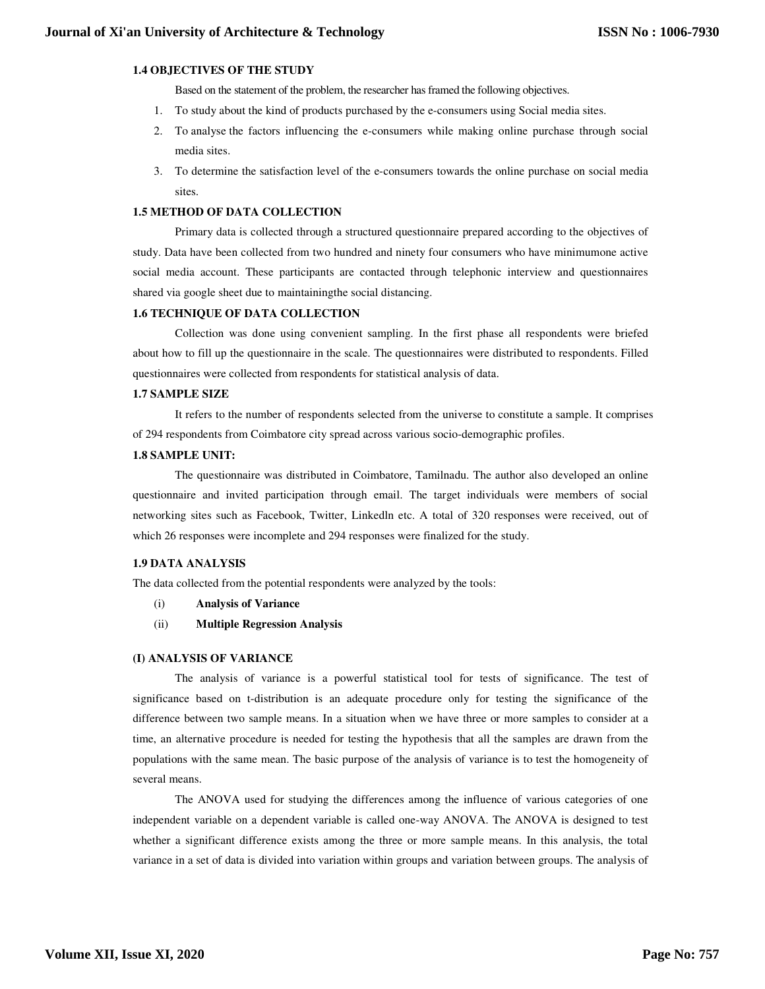## **1.4 OBJECTIVES OF THE STUDY**

Based on the statement of the problem, the researcher has framed the following objectives.

- 1. To study about the kind of products purchased by the e-consumers using Social media sites.
- 2. To analyse the factors influencing the e-consumers while making online purchase through social media sites.
- 3. To determine the satisfaction level of the e-consumers towards the online purchase on social media sites.

## **1.5 METHOD OF DATA COLLECTION**

Primary data is collected through a structured questionnaire prepared according to the objectives of study. Data have been collected from two hundred and ninety four consumers who have minimumone active social media account. These participants are contacted through telephonic interview and questionnaires shared via google sheet due to maintainingthe social distancing.

## **1.6 TECHNIQUE OF DATA COLLECTION**

Collection was done using convenient sampling. In the first phase all respondents were briefed about how to fill up the questionnaire in the scale. The questionnaires were distributed to respondents. Filled questionnaires were collected from respondents for statistical analysis of data.

## **1.7 SAMPLE SIZE**

It refers to the number of respondents selected from the universe to constitute a sample. It comprises of 294 respondents from Coimbatore city spread across various socio-demographic profiles.

## **1.8 SAMPLE UNIT:**

The questionnaire was distributed in Coimbatore, Tamilnadu. The author also developed an online questionnaire and invited participation through email. The target individuals were members of social networking sites such as Facebook, Twitter, Linkedln etc. A total of 320 responses were received, out of which 26 responses were incomplete and 294 responses were finalized for the study.

## **1.9 DATA ANALYSIS**

The data collected from the potential respondents were analyzed by the tools:

- (i) **Analysis of Variance**
- (ii) **Multiple Regression Analysis**

#### **(I) ANALYSIS OF VARIANCE**

The analysis of variance is a powerful statistical tool for tests of significance. The test of significance based on t-distribution is an adequate procedure only for testing the significance of the difference between two sample means. In a situation when we have three or more samples to consider at a time, an alternative procedure is needed for testing the hypothesis that all the samples are drawn from the populations with the same mean. The basic purpose of the analysis of variance is to test the homogeneity of several means.

The ANOVA used for studying the differences among the influence of various categories of one independent variable on a dependent variable is called one-way ANOVA. The ANOVA is designed to test whether a significant difference exists among the three or more sample means. In this analysis, the total variance in a set of data is divided into variation within groups and variation between groups. The analysis of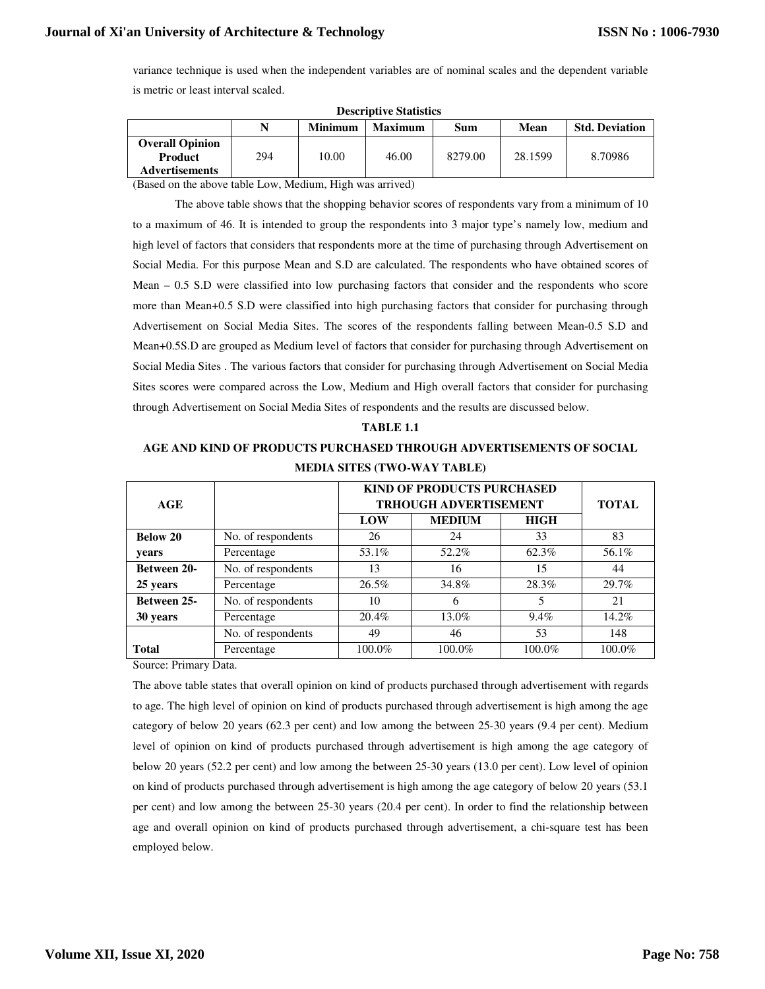variance technique is used when the independent variables are of nominal scales and the dependent variable is metric or least interval scaled.

| -----------------------                                           |     |                |                |         |         |                       |  |  |
|-------------------------------------------------------------------|-----|----------------|----------------|---------|---------|-----------------------|--|--|
|                                                                   | N   | <b>Minimum</b> | <b>Maximum</b> | Sum     | Mean    | <b>Std. Deviation</b> |  |  |
| <b>Overall Opinion</b><br><b>Product</b><br><b>Advertisements</b> | 294 | 10.00          | 46.00          | 8279.00 | 28.1599 | 8.70986               |  |  |

**Descriptive Statistics** 

(Based on the above table Low, Medium, High was arrived)

The above table shows that the shopping behavior scores of respondents vary from a minimum of 10 to a maximum of 46. It is intended to group the respondents into 3 major type's namely low, medium and high level of factors that considers that respondents more at the time of purchasing through Advertisement on Social Media. For this purpose Mean and S.D are calculated. The respondents who have obtained scores of Mean – 0.5 S.D were classified into low purchasing factors that consider and the respondents who score more than Mean+0.5 S.D were classified into high purchasing factors that consider for purchasing through Advertisement on Social Media Sites. The scores of the respondents falling between Mean-0.5 S.D and Mean+0.5S.D are grouped as Medium level of factors that consider for purchasing through Advertisement on Social Media Sites . The various factors that consider for purchasing through Advertisement on Social Media Sites scores were compared across the Low, Medium and High overall factors that consider for purchasing through Advertisement on Social Media Sites of respondents and the results are discussed below.

# **TABLE 1.1 AGE AND KIND OF PRODUCTS PURCHASED THROUGH ADVERTISEMENTS OF SOCIAL MEDIA SITES (TWO-WAY TABLE)**

| AGE                |                    |        | <b>KIND OF PRODUCTS PURCHASED</b><br><b>TRHOUGH ADVERTISEMENT</b> |             |        |  |  |
|--------------------|--------------------|--------|-------------------------------------------------------------------|-------------|--------|--|--|
|                    |                    | LOW    | <b>MEDIUM</b>                                                     | <b>HIGH</b> |        |  |  |
| <b>Below 20</b>    | No. of respondents | 26     | 24                                                                | 33          | 83     |  |  |
| years              | Percentage         | 53.1%  | 52.2%                                                             | 62.3%       | 56.1%  |  |  |
| <b>Between 20-</b> | No. of respondents | 13     | 16                                                                | 15          | 44     |  |  |
| 25 years           | Percentage         | 26.5%  | 34.8%                                                             | 28.3%       | 29.7%  |  |  |
| <b>Between 25-</b> | No. of respondents | 10     | 6                                                                 | 5           | 21     |  |  |
| 30 years           | Percentage         | 20.4%  | $13.0\%$                                                          | 9.4%        | 14.2%  |  |  |
|                    | No. of respondents | 49     | 46                                                                | 53          | 148    |  |  |
| <b>Total</b>       | Percentage         | 100.0% | 100.0%                                                            | 100.0%      | 100.0% |  |  |

Source: Primary Data.

The above table states that overall opinion on kind of products purchased through advertisement with regards to age. The high level of opinion on kind of products purchased through advertisement is high among the age category of below 20 years (62.3 per cent) and low among the between 25-30 years (9.4 per cent). Medium level of opinion on kind of products purchased through advertisement is high among the age category of below 20 years (52.2 per cent) and low among the between 25-30 years (13.0 per cent). Low level of opinion on kind of products purchased through advertisement is high among the age category of below 20 years (53.1 per cent) and low among the between 25-30 years (20.4 per cent). In order to find the relationship between age and overall opinion on kind of products purchased through advertisement, a chi-square test has been employed below.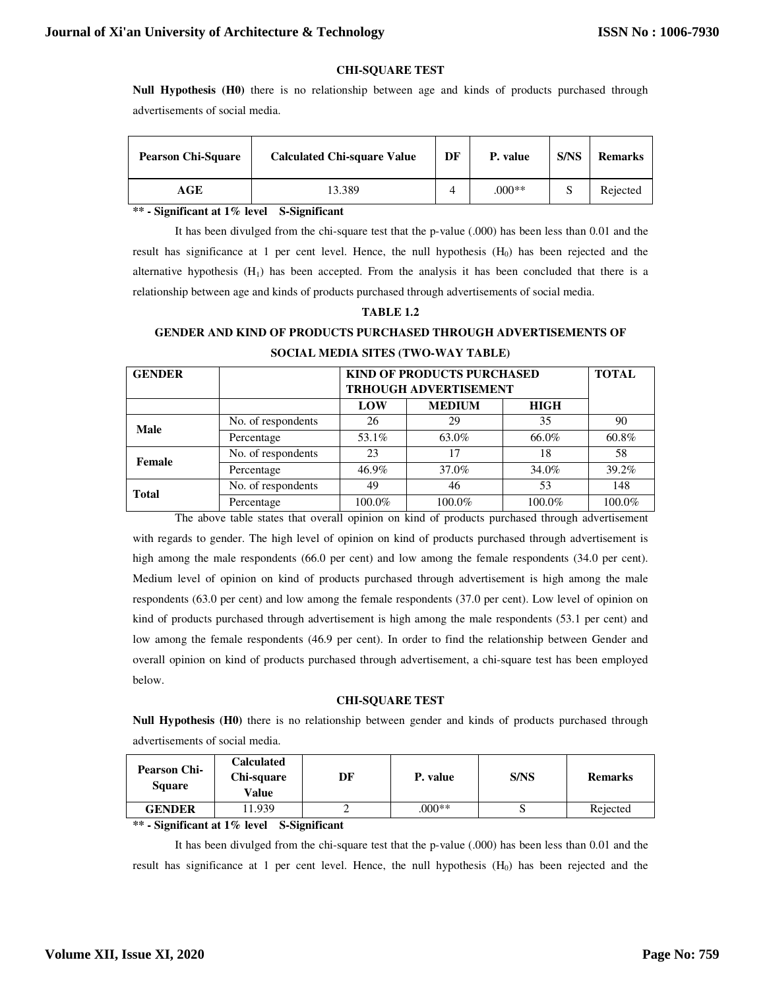## **CHI-SQUARE TEST**

**Null Hypothesis (H0)** there is no relationship between age and kinds of products purchased through advertisements of social media.

| <b>Pearson Chi-Square</b> | <b>Calculated Chi-square Value</b> | DF | P. value | <b>S/NS</b> | <b>Remarks</b> |
|---------------------------|------------------------------------|----|----------|-------------|----------------|
| AGE                       | 13.389                             |    | $.000**$ |             | Rejected       |

## **\*\* - Significant at 1% level S-Significant**

It has been divulged from the chi-square test that the p-value (.000) has been less than 0.01 and the result has significance at 1 per cent level. Hence, the null hypothesis  $(H<sub>0</sub>)$  has been rejected and the alternative hypothesis  $(H_1)$  has been accepted. From the analysis it has been concluded that there is a relationship between age and kinds of products purchased through advertisements of social media.

## **TABLE 1.2**

# **GENDER AND KIND OF PRODUCTS PURCHASED THROUGH ADVERTISEMENTS OF SOCIAL MEDIA SITES (TWO-WAY TABLE)**

| <b>GENDER</b> |                    | <b>KIND OF PRODUCTS PURCHASED</b><br><b>TRHOUGH ADVERTISEMENT</b> |               | <b>TOTAL</b> |        |
|---------------|--------------------|-------------------------------------------------------------------|---------------|--------------|--------|
|               |                    | LOW                                                               | <b>MEDIUM</b> | <b>HIGH</b>  |        |
| Male          | No. of respondents | 26                                                                | 29            | 35           | 90     |
|               | Percentage         | 53.1%                                                             | 63.0%         | 66.0%        | 60.8%  |
| Female        | No. of respondents | 23                                                                | 17            | 18           | 58     |
|               | Percentage         | $46.9\%$                                                          | 37.0%         | 34.0%        | 39.2%  |
| <b>Total</b>  | No. of respondents | 49                                                                | 46            | 53           | 148    |
|               | Percentage         | 100.0%                                                            | 100.0%        | 100.0%       | 100.0% |

The above table states that overall opinion on kind of products purchased through advertisement with regards to gender. The high level of opinion on kind of products purchased through advertisement is high among the male respondents (66.0 per cent) and low among the female respondents (34.0 per cent). Medium level of opinion on kind of products purchased through advertisement is high among the male respondents (63.0 per cent) and low among the female respondents (37.0 per cent). Low level of opinion on kind of products purchased through advertisement is high among the male respondents (53.1 per cent) and low among the female respondents (46.9 per cent). In order to find the relationship between Gender and overall opinion on kind of products purchased through advertisement, a chi-square test has been employed below.

## **CHI-SQUARE TEST**

**Null Hypothesis (H0)** there is no relationship between gender and kinds of products purchased through advertisements of social media.

| <b>Pearson Chi-</b><br><b>Square</b> | <b>Calculated</b><br>Chi-square<br>Value | DF | P. value | <b>S/NS</b> | <b>Remarks</b> |
|--------------------------------------|------------------------------------------|----|----------|-------------|----------------|
| <b>GENDER</b>                        | 1.939                                    |    | $0.00**$ |             | Rejected       |
|                                      |                                          |    |          |             |                |

**\*\* - Significant at 1% level S-Significant** 

It has been divulged from the chi-square test that the p-value (.000) has been less than 0.01 and the result has significance at 1 per cent level. Hence, the null hypothesis  $(H<sub>0</sub>)$  has been rejected and the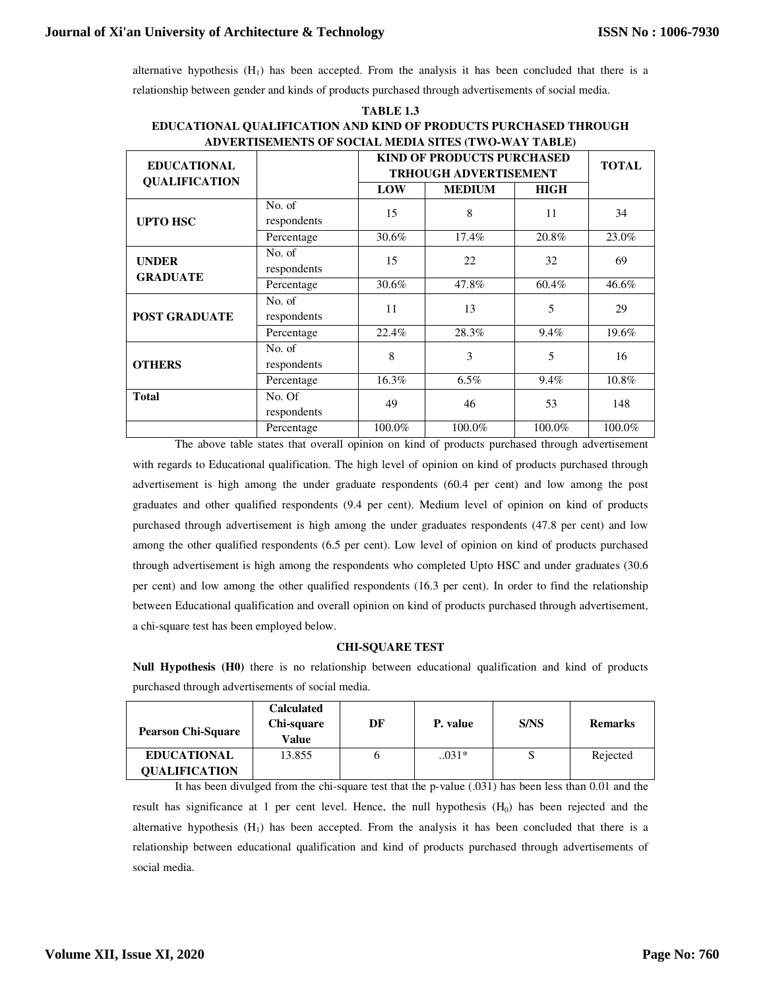alternative hypothesis  $(H_1)$  has been accepted. From the analysis it has been concluded that there is a relationship between gender and kinds of products purchased through advertisements of social media.

| ADVERTISEMENTS OF SOCIAL MEDIA SITES (TWO-WAY TABLE) |                       |        |                                                                   |             |        |  |  |
|------------------------------------------------------|-----------------------|--------|-------------------------------------------------------------------|-------------|--------|--|--|
| <b>EDUCATIONAL</b><br><b>QUALIFICATION</b>           |                       |        | <b>KIND OF PRODUCTS PURCHASED</b><br><b>TRHOUGH ADVERTISEMENT</b> |             |        |  |  |
|                                                      |                       | LOW    | <b>MEDIUM</b>                                                     | <b>HIGH</b> |        |  |  |
| <b>UPTO HSC</b>                                      | No. of<br>respondents | 15     | 8                                                                 | 11          | 34     |  |  |
|                                                      | Percentage            | 30.6%  | 17.4%                                                             | 20.8%       | 23.0%  |  |  |
| <b>UNDER</b><br><b>GRADUATE</b>                      | No. of<br>respondents | 15     | 22                                                                | 32          | 69     |  |  |
|                                                      | Percentage            | 30.6%  | 47.8%                                                             | 60.4%       | 46.6%  |  |  |
| <b>POST GRADUATE</b>                                 | No. of<br>respondents | 11     | 13                                                                | 5           | 29     |  |  |
|                                                      | Percentage            | 22.4%  | 28.3%                                                             | 9.4%        | 19.6%  |  |  |
| <b>OTHERS</b>                                        | No. of<br>respondents | 8      | 3                                                                 | 5           | 16     |  |  |
|                                                      | Percentage            | 16.3%  | $6.5\%$                                                           | 9.4%        | 10.8%  |  |  |
| <b>Total</b>                                         | No. Of<br>respondents | 49     | 46                                                                | 53          | 148    |  |  |
|                                                      | Percentage            | 100.0% | 100.0%                                                            | 100.0%      | 100.0% |  |  |

**TABLE 1.3 EDUCATIONAL QUALIFICATION AND KIND OF PRODUCTS PURCHASED THROUGH** 

The above table states that overall opinion on kind of products purchased through advertisement with regards to Educational qualification. The high level of opinion on kind of products purchased through advertisement is high among the under graduate respondents (60.4 per cent) and low among the post graduates and other qualified respondents (9.4 per cent). Medium level of opinion on kind of products purchased through advertisement is high among the under graduates respondents (47.8 per cent) and low among the other qualified respondents (6.5 per cent). Low level of opinion on kind of products purchased through advertisement is high among the respondents who completed Upto HSC and under graduates (30.6 per cent) and low among the other qualified respondents (16.3 per cent). In order to find the relationship between Educational qualification and overall opinion on kind of products purchased through advertisement, a chi-square test has been employed below.

#### **CHI-SQUARE TEST**

**Null Hypothesis (H0)** there is no relationship between educational qualification and kind of products purchased through advertisements of social media.

| <b>Pearson Chi-Square</b> | Calculated<br>Chi-square<br>Value | DF | P. value | S/NS | <b>Remarks</b> |
|---------------------------|-----------------------------------|----|----------|------|----------------|
| <b>EDUCATIONAL</b>        | 13.855                            |    | $.031*$  |      | Rejected       |
| <b>OUALIFICATION</b>      |                                   |    |          |      |                |

It has been divulged from the chi-square test that the p-value (.031) has been less than 0.01 and the result has significance at 1 per cent level. Hence, the null hypothesis  $(H<sub>0</sub>)$  has been rejected and the alternative hypothesis  $(H_1)$  has been accepted. From the analysis it has been concluded that there is a relationship between educational qualification and kind of products purchased through advertisements of social media.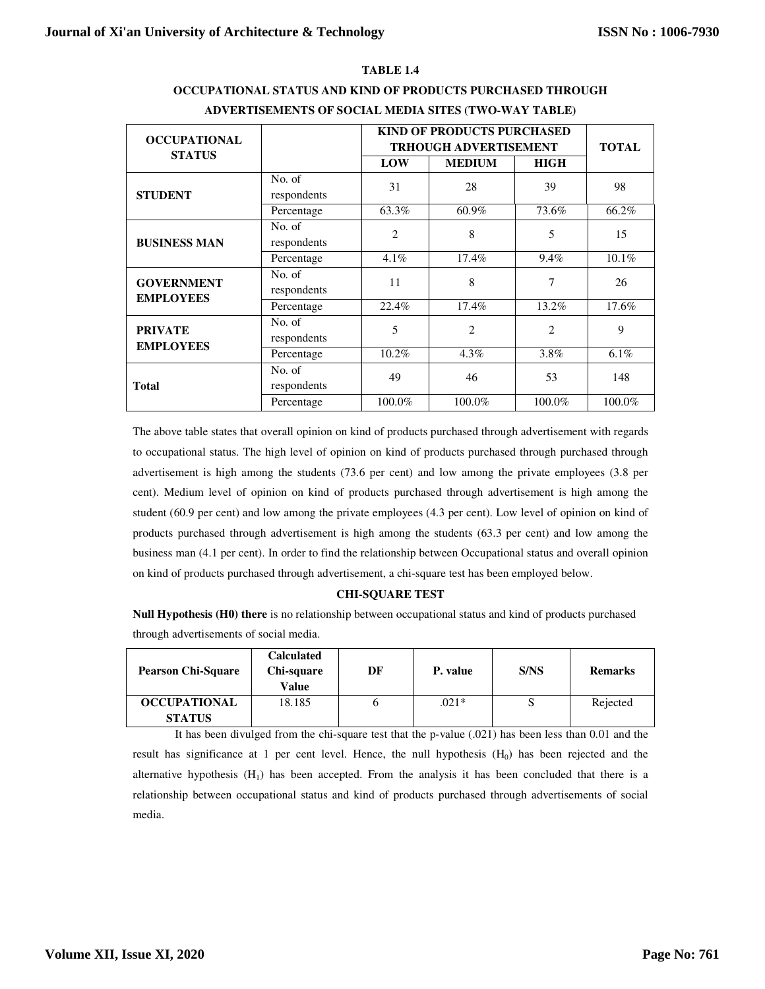## **TABLE 1.4**

| <b>OCCUPATIONAL</b>                |                       | <b>KIND OF PRODUCTS PURCHASED</b> | <b>TOTAL</b>                                  |                |          |
|------------------------------------|-----------------------|-----------------------------------|-----------------------------------------------|----------------|----------|
| <b>STATUS</b>                      |                       | LOW                               | <b>TRHOUGH ADVERTISEMENT</b><br><b>MEDIUM</b> | <b>HIGH</b>    |          |
| <b>STUDENT</b>                     | No. of<br>respondents | 31                                | 28                                            | 39             | 98       |
|                                    | Percentage            | 63.3%                             | 60.9%                                         | 73.6%          | 66.2%    |
| <b>BUSINESS MAN</b>                | No. of<br>respondents | $\overline{c}$                    | 8                                             | 5              | 15       |
|                                    | Percentage            | $4.1\%$                           | 17.4%                                         | 9.4%           | $10.1\%$ |
| <b>GOVERNMENT</b>                  | No. of<br>respondents | 11                                | 8                                             | 7              | 26       |
| <b>EMPLOYEES</b>                   | Percentage            | 22.4%                             | 17.4%                                         | 13.2%          | 17.6%    |
| <b>PRIVATE</b><br><b>EMPLOYEES</b> | No. of<br>respondents | 5                                 | $\overline{2}$                                | $\overline{c}$ | 9        |
|                                    | Percentage            | 10.2%                             | $4.3\%$                                       | 3.8%           | 6.1%     |
| <b>Total</b>                       | No. of<br>respondents | 49                                | 46                                            | 53             | 148      |
|                                    | Percentage            | 100.0%                            | 100.0%                                        | 100.0%         | 100.0%   |

# **OCCUPATIONAL STATUS AND KIND OF PRODUCTS PURCHASED THROUGH ADVERTISEMENTS OF SOCIAL MEDIA SITES (TWO-WAY TABLE)**

The above table states that overall opinion on kind of products purchased through advertisement with regards to occupational status. The high level of opinion on kind of products purchased through purchased through advertisement is high among the students (73.6 per cent) and low among the private employees (3.8 per cent). Medium level of opinion on kind of products purchased through advertisement is high among the student (60.9 per cent) and low among the private employees (4.3 per cent). Low level of opinion on kind of products purchased through advertisement is high among the students (63.3 per cent) and low among the business man (4.1 per cent). In order to find the relationship between Occupational status and overall opinion on kind of products purchased through advertisement, a chi-square test has been employed below.

## **CHI-SQUARE TEST**

**Null Hypothesis (H0) there** is no relationship between occupational status and kind of products purchased through advertisements of social media.

| <b>Pearson Chi-Square</b> | <b>Calculated</b><br>Chi-square<br>Value | DF | P. value | S/NS | <b>Remarks</b> |
|---------------------------|------------------------------------------|----|----------|------|----------------|
| <b>OCCUPATIONAL</b>       | 18.185                                   |    | $.021*$  |      | Rejected       |
| <b>STATUS</b>             |                                          |    |          |      |                |

It has been divulged from the chi-square test that the p-value (.021) has been less than 0.01 and the result has significance at 1 per cent level. Hence, the null hypothesis  $(H<sub>0</sub>)$  has been rejected and the alternative hypothesis  $(H_1)$  has been accepted. From the analysis it has been concluded that there is a relationship between occupational status and kind of products purchased through advertisements of social media.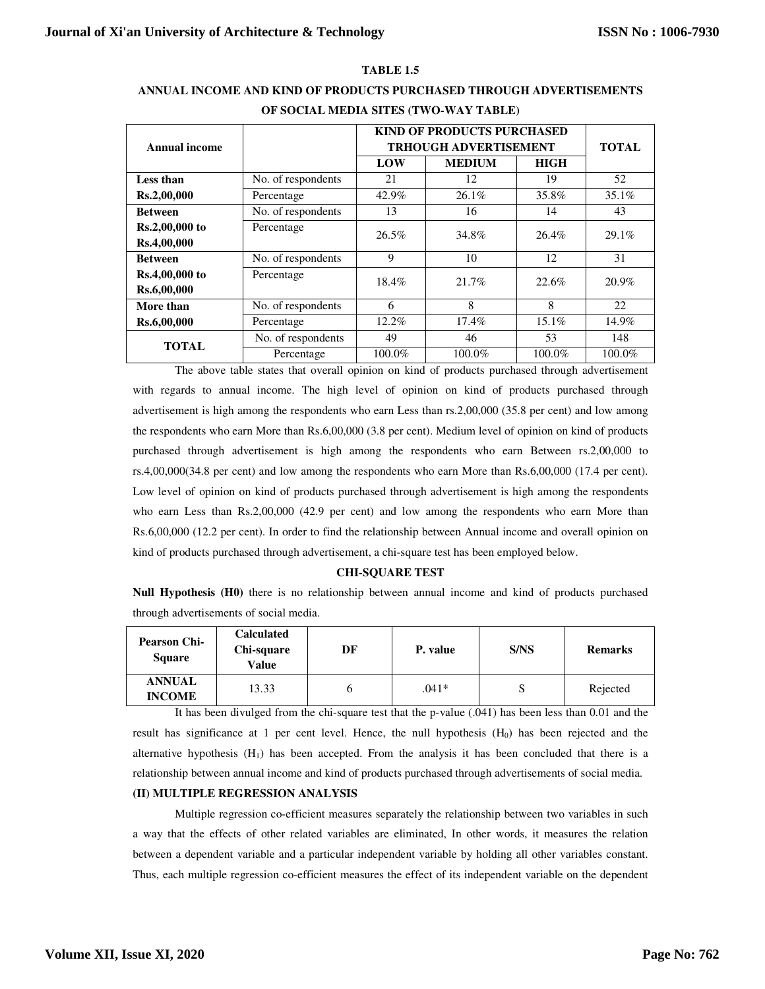## **TABLE 1.5**

| Annual income  |                    |        | <b>KIND OF PRODUCTS PURCHASED</b><br><b>TRHOUGH ADVERTISEMENT</b> |             |        |  |  |
|----------------|--------------------|--------|-------------------------------------------------------------------|-------------|--------|--|--|
|                |                    | LOW    | <b>MEDIUM</b>                                                     | <b>HIGH</b> |        |  |  |
| Less than      | No. of respondents | 21     | 12                                                                | 19          | 52     |  |  |
| Rs.2,00,000    | Percentage         | 42.9%  | 26.1%                                                             | 35.8%       | 35.1%  |  |  |
| <b>Between</b> | No. of respondents | 13     | 16                                                                | 14          | 43     |  |  |
| Rs.2,00,000 to | Percentage         | 26.5%  | 34.8%                                                             | $26.4\%$    | 29.1%  |  |  |
| Rs.4,00,000    |                    |        |                                                                   |             |        |  |  |
| <b>Between</b> | No. of respondents | 9      | 10                                                                | 12          | 31     |  |  |
| Rs.4,00,000 to | Percentage         | 18.4%  | 21.7%                                                             | 22.6%       | 20.9%  |  |  |
| Rs.6,00,000    |                    |        |                                                                   |             |        |  |  |
| More than      | No. of respondents | 6      | 8                                                                 | 8           | 22     |  |  |
| Rs.6,00,000    | Percentage         | 12.2%  | 17.4%                                                             | 15.1%       | 14.9%  |  |  |
| <b>TOTAL</b>   | No. of respondents | 49     | 46                                                                | 53          | 148    |  |  |
|                | Percentage         | 100.0% | 100.0%                                                            | 100.0%      | 100.0% |  |  |

# **ANNUAL INCOME AND KIND OF PRODUCTS PURCHASED THROUGH ADVERTISEMENTS OF SOCIAL MEDIA SITES (TWO-WAY TABLE)**

The above table states that overall opinion on kind of products purchased through advertisement with regards to annual income. The high level of opinion on kind of products purchased through advertisement is high among the respondents who earn Less than rs.2,00,000 (35.8 per cent) and low among the respondents who earn More than Rs.6,00,000 (3.8 per cent). Medium level of opinion on kind of products purchased through advertisement is high among the respondents who earn Between rs.2,00,000 to rs.4,00,000(34.8 per cent) and low among the respondents who earn More than Rs.6,00,000 (17.4 per cent). Low level of opinion on kind of products purchased through advertisement is high among the respondents who earn Less than Rs.2,00,000 (42.9 per cent) and low among the respondents who earn More than Rs.6,00,000 (12.2 per cent). In order to find the relationship between Annual income and overall opinion on kind of products purchased through advertisement, a chi-square test has been employed below.

#### **CHI-SQUARE TEST**

**Null Hypothesis (H0)** there is no relationship between annual income and kind of products purchased through advertisements of social media.

| <b>Pearson Chi-</b><br><b>Square</b> | <b>Calculated</b><br>Chi-square<br>Value | DF | P. value | S/NS | <b>Remarks</b> |
|--------------------------------------|------------------------------------------|----|----------|------|----------------|
| <b>ANNUAL</b><br><b>INCOME</b>       | 13.33                                    |    | $.041*$  |      | Rejected       |

It has been divulged from the chi-square test that the p-value (.041) has been less than 0.01 and the result has significance at 1 per cent level. Hence, the null hypothesis  $(H<sub>0</sub>)$  has been rejected and the alternative hypothesis  $(H_1)$  has been accepted. From the analysis it has been concluded that there is a relationship between annual income and kind of products purchased through advertisements of social media.

## **(II) MULTIPLE REGRESSION ANALYSIS**

Multiple regression co-efficient measures separately the relationship between two variables in such a way that the effects of other related variables are eliminated, In other words, it measures the relation between a dependent variable and a particular independent variable by holding all other variables constant. Thus, each multiple regression co-efficient measures the effect of its independent variable on the dependent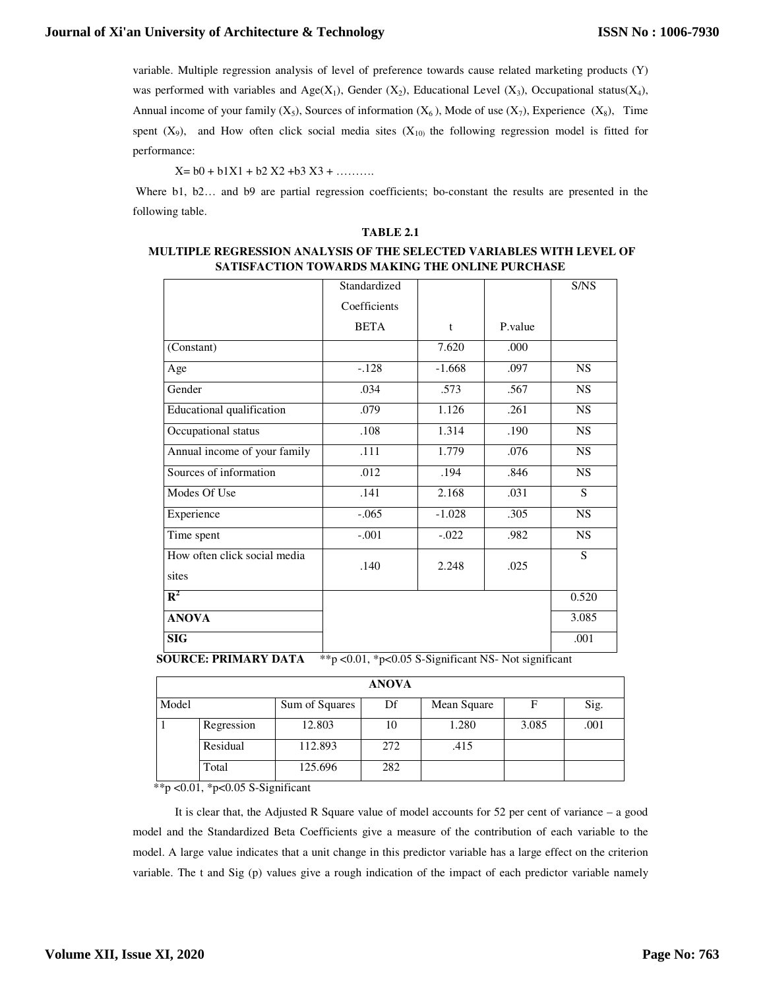variable. Multiple regression analysis of level of preference towards cause related marketing products (Y) was performed with variables and Age(X<sub>1</sub>), Gender (X<sub>2</sub>), Educational Level (X<sub>3</sub>), Occupational status(X<sub>4</sub>), Annual income of your family  $(X_5)$ , Sources of information  $(X_6)$ , Mode of use  $(X_7)$ , Experience  $(X_8)$ , Time spent  $(X_9)$ , and How often click social media sites  $(X_{10})$  the following regression model is fitted for performance:

 $X = b0 + b1X1 + b2X2 + b3X3 + \ldots$ 

Where b1, b2... and b9 are partial regression coefficients; bo-constant the results are presented in the following table.

#### **TABLE 2.1**

## **MULTIPLE REGRESSION ANALYSIS OF THE SELECTED VARIABLES WITH LEVEL OF SATISFACTION TOWARDS MAKING THE ONLINE PURCHASE**

|                                  | Standardized |              |         | S/NS      |
|----------------------------------|--------------|--------------|---------|-----------|
|                                  | Coefficients |              |         |           |
|                                  | <b>BETA</b>  | $\mathbf{t}$ | P.value |           |
| (Constant)                       |              | 7.620        | .000    |           |
| Age                              | $-.128$      | $-1.668$     | .097    | <b>NS</b> |
| Gender                           | .034         | .573         | .567    | <b>NS</b> |
| <b>Educational qualification</b> | .079         | 1.126        | .261    | <b>NS</b> |
| Occupational status              | .108         | 1.314        | .190    | NS        |
| Annual income of your family     | .111         | 1.779        | .076    | <b>NS</b> |
| Sources of information           | .012         | .194         | .846    | <b>NS</b> |
| Modes Of Use                     | .141         | 2.168        | .031    | S.        |
| Experience                       | $-.065$      | $-1.028$     | .305    | <b>NS</b> |
| Time spent                       | $-.001$      | $-.022$      | .982    | <b>NS</b> |
| How often click social media     | .140         | 2.248        | .025    | S         |
| sites                            |              |              |         |           |
| $\mathbf{R}^2$                   |              |              |         | 0.520     |
| <b>ANOVA</b>                     |              |              |         | 3.085     |
| <b>SIG</b>                       |              |              |         | .001      |

**SOURCE: PRIMARY DATA** \*\* p < 0.01, \* p < 0.05 S-Significant NS- Not significant

|       |            |                | <b>ANOVA</b> |             |       |      |
|-------|------------|----------------|--------------|-------------|-------|------|
| Model |            | Sum of Squares | Df           | Mean Square | F     | Sig. |
|       | Regression | 12.803         | 10           | 1.280       | 3.085 | .001 |
|       | Residual   | 112.893        | 272          | .415        |       |      |
|       | Total      | 125.696        | 282          |             |       |      |

\*\*p < 0.01, \*p < 0.05 S-Significant

It is clear that, the Adjusted R Square value of model accounts for 52 per cent of variance – a good model and the Standardized Beta Coefficients give a measure of the contribution of each variable to the model. A large value indicates that a unit change in this predictor variable has a large effect on the criterion variable. The t and Sig (p) values give a rough indication of the impact of each predictor variable namely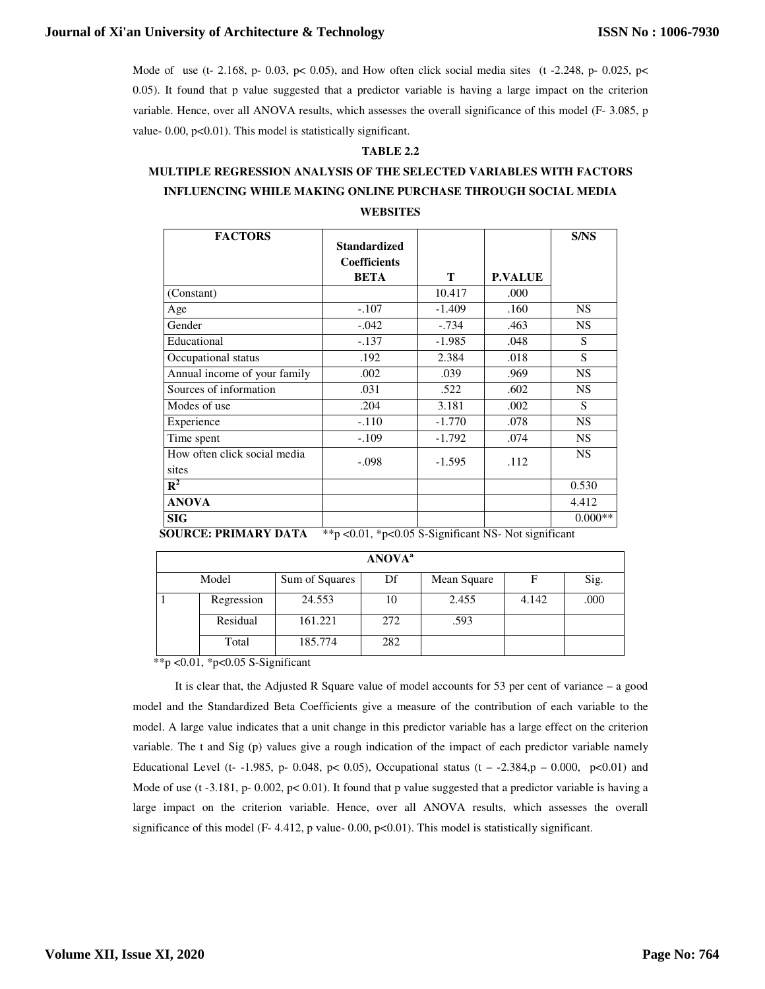Mode of use (t- 2.168, p- 0.03, p< 0.05), and How often click social media sites (t-2.248, p- 0.025, p< 0.05). It found that p value suggested that a predictor variable is having a large impact on the criterion variable. Hence, over all ANOVA results, which assesses the overall significance of this model (F- 3.085, p value- 0.00, p<0.01). This model is statistically significant.

## **TABLE 2.2**

# **MULTIPLE REGRESSION ANALYSIS OF THE SELECTED VARIABLES WITH FACTORS INFLUENCING WHILE MAKING ONLINE PURCHASE THROUGH SOCIAL MEDIA**

## **WEBSITES**

| <b>FACTORS</b>                                                                                                                                                                                                                                                                                                                                                                                                                                                                           | <b>Standardized</b><br><b>Coefficients</b><br><b>BETA</b> | T        | <b>P.VALUE</b> | <b>S/NS</b> |
|------------------------------------------------------------------------------------------------------------------------------------------------------------------------------------------------------------------------------------------------------------------------------------------------------------------------------------------------------------------------------------------------------------------------------------------------------------------------------------------|-----------------------------------------------------------|----------|----------------|-------------|
| (Constant)                                                                                                                                                                                                                                                                                                                                                                                                                                                                               |                                                           | 10.417   | .000           |             |
| Age                                                                                                                                                                                                                                                                                                                                                                                                                                                                                      | $-.107$                                                   | $-1.409$ | .160           | NS.         |
| Gender                                                                                                                                                                                                                                                                                                                                                                                                                                                                                   | $-.042$                                                   | $-.734$  | .463           | NS.         |
| Educational                                                                                                                                                                                                                                                                                                                                                                                                                                                                              | $-.137$                                                   | $-1.985$ | .048           | S           |
| Occupational status                                                                                                                                                                                                                                                                                                                                                                                                                                                                      | .192                                                      | 2.384    | .018           | S           |
| Annual income of your family                                                                                                                                                                                                                                                                                                                                                                                                                                                             | .002                                                      | .039     | .969           | <b>NS</b>   |
| Sources of information                                                                                                                                                                                                                                                                                                                                                                                                                                                                   | .031                                                      | .522     | .602           | <b>NS</b>   |
| Modes of use                                                                                                                                                                                                                                                                                                                                                                                                                                                                             | .204                                                      | 3.181    | .002           | S           |
| Experience                                                                                                                                                                                                                                                                                                                                                                                                                                                                               | $-.110$                                                   | $-1.770$ | .078           | <b>NS</b>   |
| Time spent                                                                                                                                                                                                                                                                                                                                                                                                                                                                               | $-.109$                                                   | $-1.792$ | .074           | NS.         |
| How often click social media<br>sites                                                                                                                                                                                                                                                                                                                                                                                                                                                    | $-.098$                                                   | $-1.595$ | .112           | <b>NS</b>   |
| $R^2$                                                                                                                                                                                                                                                                                                                                                                                                                                                                                    |                                                           |          |                | 0.530       |
| <b>ANOVA</b>                                                                                                                                                                                                                                                                                                                                                                                                                                                                             |                                                           |          |                | 4.412       |
| <b>SIG</b><br>$\frac{1}{2} \left( \frac{1}{2} \right) \left( \frac{1}{2} \right) \left( \frac{1}{2} \right) \left( \frac{1}{2} \right) \left( \frac{1}{2} \right) \left( \frac{1}{2} \right) \left( \frac{1}{2} \right) \left( \frac{1}{2} \right) \left( \frac{1}{2} \right) \left( \frac{1}{2} \right) \left( \frac{1}{2} \right) \left( \frac{1}{2} \right) \left( \frac{1}{2} \right) \left( \frac{1}{2} \right) \left( \frac{1}{2} \right) \left( \frac{1}{2} \right) \left( \frac$ | $\sim$ $\sim$                                             |          | $   -$         | $0.000**$   |

**SOURCE: PRIMARY DATA** \*\* p < 0.01, \* p < 0.05 S-Significant NS- Not significant

| <b>ANOVA</b> <sup>a</sup> |            |                |     |             |       |      |  |  |
|---------------------------|------------|----------------|-----|-------------|-------|------|--|--|
|                           | Model      | Sum of Squares | Df  | Mean Square | F     | Sig. |  |  |
|                           | Regression | 24.553         | 10  | 2.455       | 4.142 | .000 |  |  |
|                           | Residual   | 161.221        | 272 | .593        |       |      |  |  |
|                           | Total      | 185.774        | 282 |             |       |      |  |  |

\*\*p <0.01, \*p<0.05 S-Significant

It is clear that, the Adjusted R Square value of model accounts for 53 per cent of variance – a good model and the Standardized Beta Coefficients give a measure of the contribution of each variable to the model. A large value indicates that a unit change in this predictor variable has a large effect on the criterion variable. The t and Sig (p) values give a rough indication of the impact of each predictor variable namely Educational Level (t- -1.985, p- 0.048, p< 0.05), Occupational status (t - -2.384,p - 0.000, p<0.01) and Mode of use (t -3.181, p- 0.002, p< 0.01). It found that p value suggested that a predictor variable is having a large impact on the criterion variable. Hence, over all ANOVA results, which assesses the overall significance of this model (F- 4.412, p value- 0.00, p<0.01). This model is statistically significant.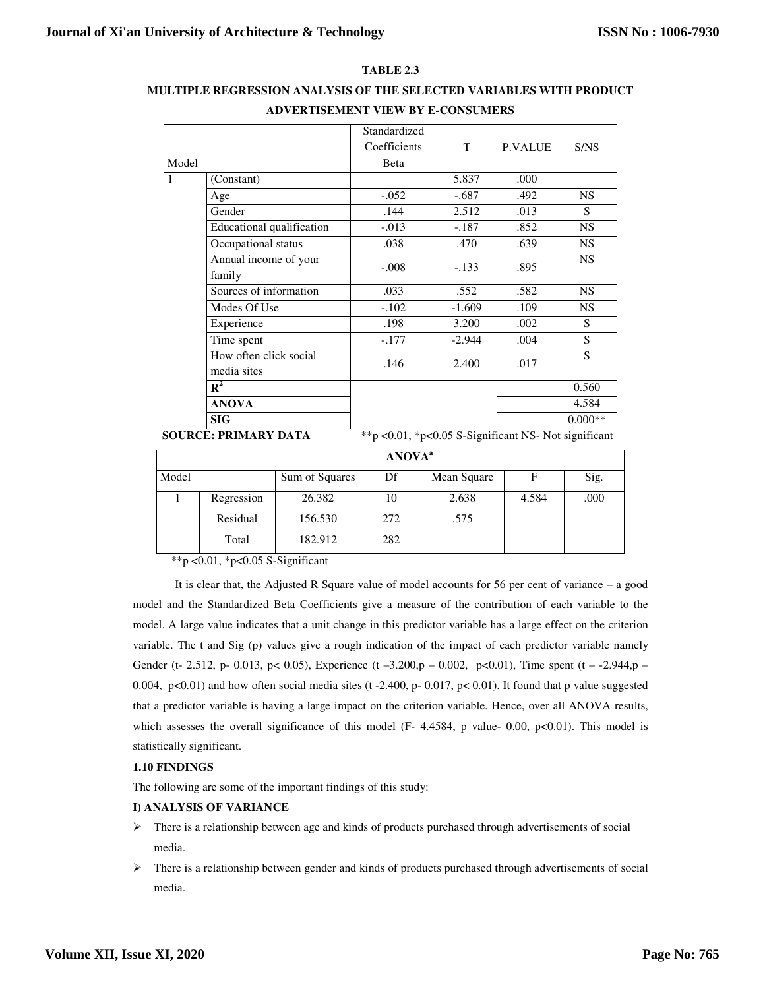## **TABLE 2.3**

## **MULTIPLE REGRESSION ANALYSIS OF THE SELECTED VARIABLES WITH PRODUCT ADVERTISEMENT VIEW BY E-CONSUMERS**

|       |                                       | Standardized                                              |          |                |           |
|-------|---------------------------------------|-----------------------------------------------------------|----------|----------------|-----------|
|       |                                       | Coefficients                                              | T        | <b>P.VALUE</b> | S/NS      |
| Model |                                       | Beta                                                      |          |                |           |
| 1     | (Constant)                            |                                                           | 5.837    | .000           |           |
|       | Age                                   | $-.052$                                                   | $-.687$  | .492           | <b>NS</b> |
|       | Gender                                | .144                                                      | 2.512    | .013           | S         |
|       | Educational qualification             | $-0.013$                                                  | $-.187$  | .852           | <b>NS</b> |
|       | Occupational status                   | .038                                                      | .470     | .639           | <b>NS</b> |
|       | Annual income of your<br>family       | $-.008$                                                   | $-.133$  | .895           | <b>NS</b> |
|       | Sources of information                | .033                                                      | .552     | .582           | <b>NS</b> |
|       | Modes Of Use                          | $-.102$                                                   | $-1.609$ | .109           | <b>NS</b> |
|       | Experience                            | .198                                                      | 3.200    | .002           | S         |
|       | Time spent                            | $-.177$                                                   | $-2.944$ | .004           | S         |
|       | How often click social<br>media sites | .146                                                      | 2.400    | .017           | S         |
|       | $\mathbb{R}^2$                        |                                                           |          |                | 0.560     |
|       | <b>ANOVA</b>                          |                                                           |          |                | 4.584     |
|       | SIG                                   |                                                           |          |                | $0.000**$ |
|       | <b>SOURCE: PRIMARY DATA</b>           | ** p < 0.01, * p < 0.05 S-Significant NS- Not significant |          |                |           |

| <b>ANOVA</b> <sup>a</sup> |            |                |     |             |       |      |
|---------------------------|------------|----------------|-----|-------------|-------|------|
| Model                     |            | Sum of Squares | Df  | Mean Square | F     | Sig. |
|                           | Regression | 26.382         | 10  | 2.638       | 4.584 | .000 |
|                           | Residual   | 156.530        | 272 | .575        |       |      |
|                           | Total      | 182.912        | 282 |             |       |      |

\*\*p < 0.01, \*p < 0.05 S-Significant

It is clear that, the Adjusted R Square value of model accounts for 56 per cent of variance – a good model and the Standardized Beta Coefficients give a measure of the contribution of each variable to the model. A large value indicates that a unit change in this predictor variable has a large effect on the criterion variable. The t and Sig (p) values give a rough indication of the impact of each predictor variable namely Gender (t- 2.512, p- 0.013, p< 0.05), Experience (t -3.200,p - 0.002, p<0.01), Time spent (t - -2.944,p -0.004, p<0.01) and how often social media sites (t-2.400, p- 0.017, p<0.01). It found that p value suggested that a predictor variable is having a large impact on the criterion variable. Hence, over all ANOVA results, which assesses the overall significance of this model  $(F- 4.4584, p$  value- 0.00,  $p<0.01$ ). This model is statistically significant.

## **1.10 FINDINGS**

The following are some of the important findings of this study:

## **I) ANALYSIS OF VARIANCE**

- $\triangleright$  There is a relationship between age and kinds of products purchased through advertisements of social media.
- $\triangleright$  There is a relationship between gender and kinds of products purchased through advertisements of social media.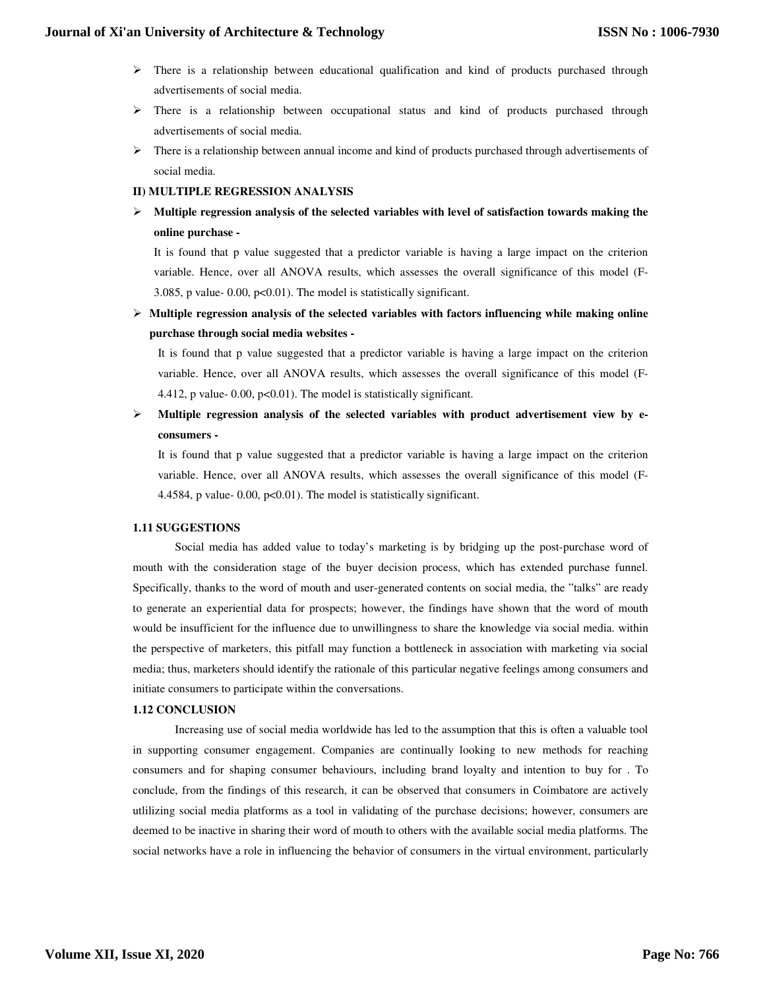## **Journal of Xi'an University of Architecture & Technology**

- $\triangleright$  There is a relationship between educational qualification and kind of products purchased through advertisements of social media.
- $\triangleright$  There is a relationship between occupational status and kind of products purchased through advertisements of social media.
- $\triangleright$  There is a relationship between annual income and kind of products purchased through advertisements of social media.

#### **II) MULTIPLE REGRESSION ANALYSIS**

 **Multiple regression analysis of the selected variables with level of satisfaction towards making the online purchase -** 

It is found that p value suggested that a predictor variable is having a large impact on the criterion variable. Hence, over all ANOVA results, which assesses the overall significance of this model (F-3.085, p value- 0.00, p<0.01). The model is statistically significant.

 **Multiple regression analysis of the selected variables with factors influencing while making online purchase through social media websites -** 

It is found that p value suggested that a predictor variable is having a large impact on the criterion variable. Hence, over all ANOVA results, which assesses the overall significance of this model (F-4.412, p value- 0.00,  $p<0.01$ ). The model is statistically significant.

 **Multiple regression analysis of the selected variables with product advertisement view by econsumers -** 

It is found that p value suggested that a predictor variable is having a large impact on the criterion variable. Hence, over all ANOVA results, which assesses the overall significance of this model (F-4.4584, p value- 0.00, p<0.01). The model is statistically significant.

#### **1.11 SUGGESTIONS**

Social media has added value to today's marketing is by bridging up the post-purchase word of mouth with the consideration stage of the buyer decision process, which has extended purchase funnel. Specifically, thanks to the word of mouth and user-generated contents on social media, the "talks" are ready to generate an experiential data for prospects; however, the findings have shown that the word of mouth would be insufficient for the influence due to unwillingness to share the knowledge via social media. within the perspective of marketers, this pitfall may function a bottleneck in association with marketing via social media; thus, marketers should identify the rationale of this particular negative feelings among consumers and initiate consumers to participate within the conversations.

#### **1.12 CONCLUSION**

Increasing use of social media worldwide has led to the assumption that this is often a valuable tool in supporting consumer engagement. Companies are continually looking to new methods for reaching consumers and for shaping consumer behaviours, including brand loyalty and intention to buy for . To conclude, from the findings of this research, it can be observed that consumers in Coimbatore are actively utlilizing social media platforms as a tool in validating of the purchase decisions; however, consumers are deemed to be inactive in sharing their word of mouth to others with the available social media platforms. The social networks have a role in influencing the behavior of consumers in the virtual environment, particularly